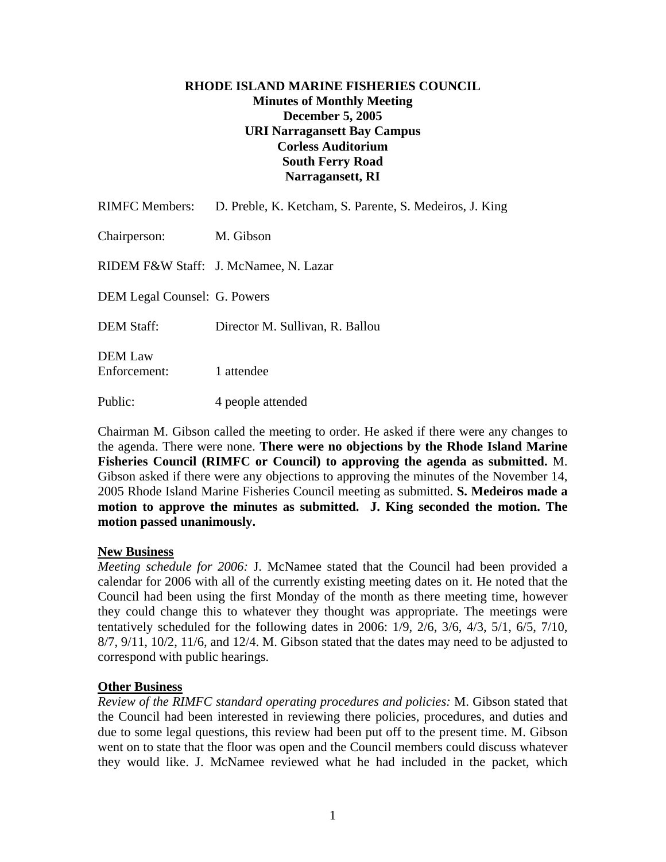## **RHODE ISLAND MARINE FISHERIES COUNCIL Minutes of Monthly Meeting December 5, 2005 URI Narragansett Bay Campus Corless Auditorium South Ferry Road Narragansett, RI**

| <b>RIMFC Members:</b>               | D. Preble, K. Ketcham, S. Parente, S. Medeiros, J. King |
|-------------------------------------|---------------------------------------------------------|
| Chairperson:                        | M. Gibson                                               |
|                                     | RIDEM F&W Staff: J. McNamee, N. Lazar                   |
| <b>DEM Legal Counsel: G. Powers</b> |                                                         |
| <b>DEM Staff:</b>                   | Director M. Sullivan, R. Ballou                         |
| DEM Law<br>Enforcement:             | 1 attendee                                              |
| Public:                             | 4 people attended                                       |

Chairman M. Gibson called the meeting to order. He asked if there were any changes to the agenda. There were none. **There were no objections by the Rhode Island Marine Fisheries Council (RIMFC or Council) to approving the agenda as submitted.** M. Gibson asked if there were any objections to approving the minutes of the November 14, 2005 Rhode Island Marine Fisheries Council meeting as submitted. **S. Medeiros made a motion to approve the minutes as submitted. J. King seconded the motion. The motion passed unanimously.** 

### **New Business**

*Meeting schedule for 2006:* J. McNamee stated that the Council had been provided a calendar for 2006 with all of the currently existing meeting dates on it. He noted that the Council had been using the first Monday of the month as there meeting time, however they could change this to whatever they thought was appropriate. The meetings were tentatively scheduled for the following dates in 2006: 1/9, 2/6, 3/6, 4/3, 5/1, 6/5, 7/10, 8/7, 9/11, 10/2, 11/6, and 12/4. M. Gibson stated that the dates may need to be adjusted to correspond with public hearings.

### **Other Business**

*Review of the RIMFC standard operating procedures and policies:* M. Gibson stated that the Council had been interested in reviewing there policies, procedures, and duties and due to some legal questions, this review had been put off to the present time. M. Gibson went on to state that the floor was open and the Council members could discuss whatever they would like. J. McNamee reviewed what he had included in the packet, which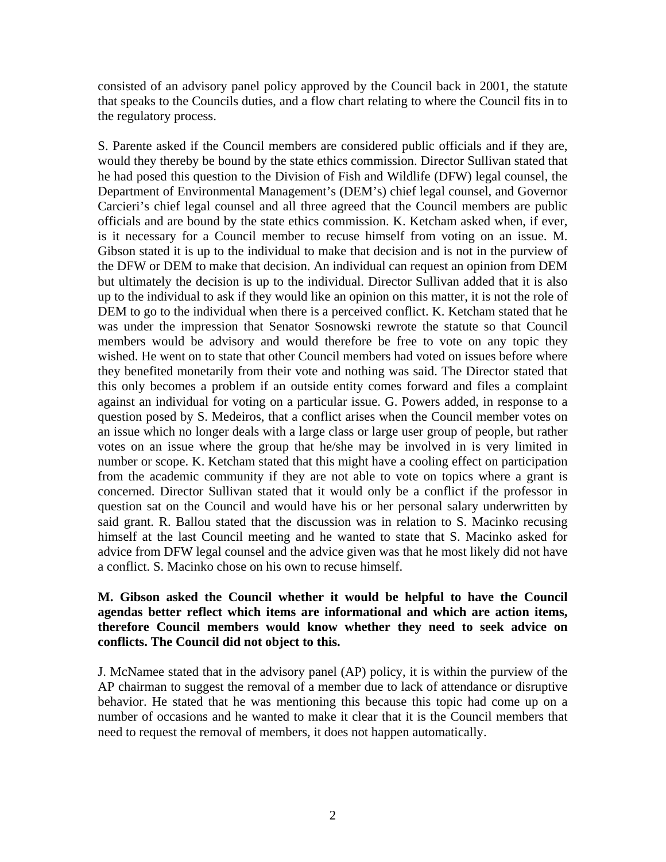consisted of an advisory panel policy approved by the Council back in 2001, the statute that speaks to the Councils duties, and a flow chart relating to where the Council fits in to the regulatory process.

S. Parente asked if the Council members are considered public officials and if they are, would they thereby be bound by the state ethics commission. Director Sullivan stated that he had posed this question to the Division of Fish and Wildlife (DFW) legal counsel, the Department of Environmental Management's (DEM's) chief legal counsel, and Governor Carcieri's chief legal counsel and all three agreed that the Council members are public officials and are bound by the state ethics commission. K. Ketcham asked when, if ever, is it necessary for a Council member to recuse himself from voting on an issue. M. Gibson stated it is up to the individual to make that decision and is not in the purview of the DFW or DEM to make that decision. An individual can request an opinion from DEM but ultimately the decision is up to the individual. Director Sullivan added that it is also up to the individual to ask if they would like an opinion on this matter, it is not the role of DEM to go to the individual when there is a perceived conflict. K. Ketcham stated that he was under the impression that Senator Sosnowski rewrote the statute so that Council members would be advisory and would therefore be free to vote on any topic they wished. He went on to state that other Council members had voted on issues before where they benefited monetarily from their vote and nothing was said. The Director stated that this only becomes a problem if an outside entity comes forward and files a complaint against an individual for voting on a particular issue. G. Powers added, in response to a question posed by S. Medeiros, that a conflict arises when the Council member votes on an issue which no longer deals with a large class or large user group of people, but rather votes on an issue where the group that he/she may be involved in is very limited in number or scope. K. Ketcham stated that this might have a cooling effect on participation from the academic community if they are not able to vote on topics where a grant is concerned. Director Sullivan stated that it would only be a conflict if the professor in question sat on the Council and would have his or her personal salary underwritten by said grant. R. Ballou stated that the discussion was in relation to S. Macinko recusing himself at the last Council meeting and he wanted to state that S. Macinko asked for advice from DFW legal counsel and the advice given was that he most likely did not have a conflict. S. Macinko chose on his own to recuse himself.

# **M. Gibson asked the Council whether it would be helpful to have the Council agendas better reflect which items are informational and which are action items, therefore Council members would know whether they need to seek advice on conflicts. The Council did not object to this.**

J. McNamee stated that in the advisory panel (AP) policy, it is within the purview of the AP chairman to suggest the removal of a member due to lack of attendance or disruptive behavior. He stated that he was mentioning this because this topic had come up on a number of occasions and he wanted to make it clear that it is the Council members that need to request the removal of members, it does not happen automatically.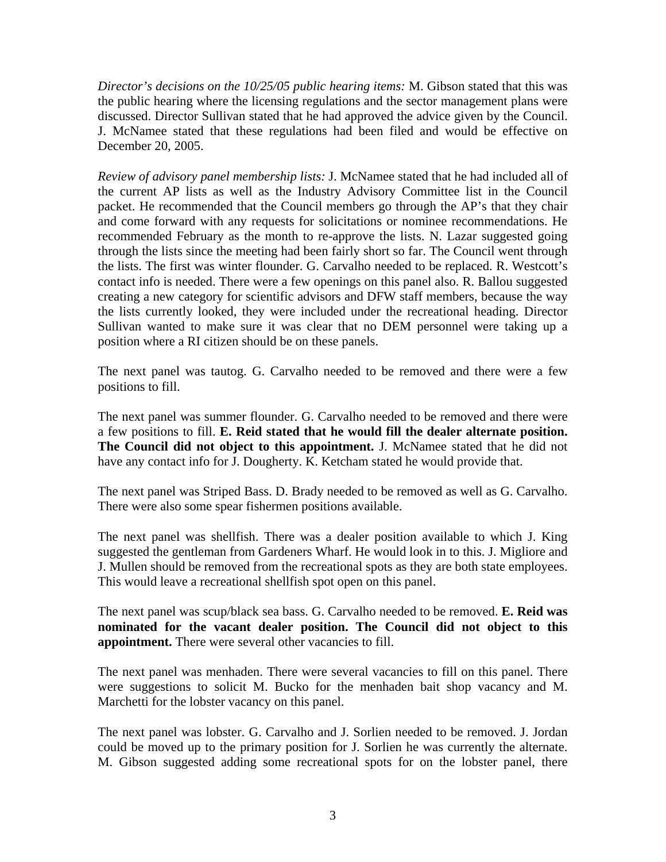*Director's decisions on the 10/25/05 public hearing items:* M. Gibson stated that this was the public hearing where the licensing regulations and the sector management plans were discussed. Director Sullivan stated that he had approved the advice given by the Council. J. McNamee stated that these regulations had been filed and would be effective on December 20, 2005.

*Review of advisory panel membership lists:* J. McNamee stated that he had included all of the current AP lists as well as the Industry Advisory Committee list in the Council packet. He recommended that the Council members go through the AP's that they chair and come forward with any requests for solicitations or nominee recommendations. He recommended February as the month to re-approve the lists. N. Lazar suggested going through the lists since the meeting had been fairly short so far. The Council went through the lists. The first was winter flounder. G. Carvalho needed to be replaced. R. Westcott's contact info is needed. There were a few openings on this panel also. R. Ballou suggested creating a new category for scientific advisors and DFW staff members, because the way the lists currently looked, they were included under the recreational heading. Director Sullivan wanted to make sure it was clear that no DEM personnel were taking up a position where a RI citizen should be on these panels.

The next panel was tautog. G. Carvalho needed to be removed and there were a few positions to fill.

The next panel was summer flounder. G. Carvalho needed to be removed and there were a few positions to fill. **E. Reid stated that he would fill the dealer alternate position. The Council did not object to this appointment.** J. McNamee stated that he did not have any contact info for J. Dougherty. K. Ketcham stated he would provide that.

The next panel was Striped Bass. D. Brady needed to be removed as well as G. Carvalho. There were also some spear fishermen positions available.

The next panel was shellfish. There was a dealer position available to which J. King suggested the gentleman from Gardeners Wharf. He would look in to this. J. Migliore and J. Mullen should be removed from the recreational spots as they are both state employees. This would leave a recreational shellfish spot open on this panel.

The next panel was scup/black sea bass. G. Carvalho needed to be removed. **E. Reid was nominated for the vacant dealer position. The Council did not object to this appointment.** There were several other vacancies to fill.

The next panel was menhaden. There were several vacancies to fill on this panel. There were suggestions to solicit M. Bucko for the menhaden bait shop vacancy and M. Marchetti for the lobster vacancy on this panel.

The next panel was lobster. G. Carvalho and J. Sorlien needed to be removed. J. Jordan could be moved up to the primary position for J. Sorlien he was currently the alternate. M. Gibson suggested adding some recreational spots for on the lobster panel, there